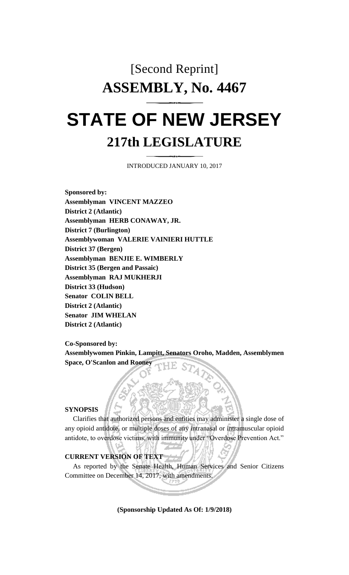# [Second Reprint] **ASSEMBLY, No. 4467**

# **STATE OF NEW JERSEY 217th LEGISLATURE**

INTRODUCED JANUARY 10, 2017

**Sponsored by: Assemblyman VINCENT MAZZEO District 2 (Atlantic) Assemblyman HERB CONAWAY, JR. District 7 (Burlington) Assemblywoman VALERIE VAINIERI HUTTLE District 37 (Bergen) Assemblyman BENJIE E. WIMBERLY District 35 (Bergen and Passaic) Assemblyman RAJ MUKHERJI District 33 (Hudson) Senator COLIN BELL District 2 (Atlantic) Senator JIM WHELAN District 2 (Atlantic)**

**Co-Sponsored by:**

**Assemblywomen Pinkin, Lampitt, Senators Oroho, Madden, Assemblymen Space, O'Scanlon and Rooney**

## **SYNOPSIS**

Clarifies that authorized persons and entities may administer a single dose of any opioid antidote, or multiple doses of any intranasal or intramuscular opioid antidote, to overdose victims, with immunity under "Overdose Prevention Act."

# **CURRENT VERSION OF TEXT**

As reported by the Senate Health, Human Services and Senior Citizens Committee on December 14, 2017, with amendments.

#### **(Sponsorship Updated As Of: 1/9/2018)**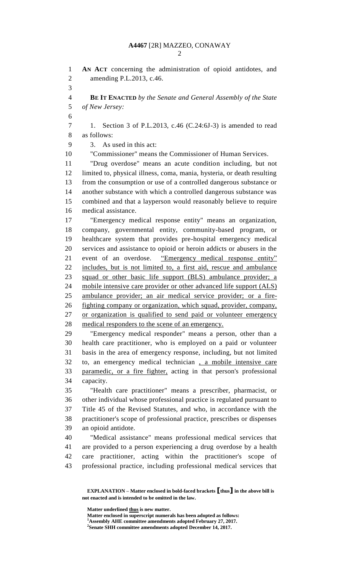**AN ACT** concerning the administration of opioid antidotes, and amending P.L.2013, c.46. **BE IT ENACTED** *by the Senate and General Assembly of the State of New Jersey:* 1. Section 3 of P.L.2013, c.46 (C.24:6J-3) is amended to read as follows: 3. As used in this act: "Commissioner" means the Commissioner of Human Services. "Drug overdose" means an acute condition including, but not limited to, physical illness, coma, mania, hysteria, or death resulting from the consumption or use of a controlled dangerous substance or another substance with which a controlled dangerous substance was combined and that a layperson would reasonably believe to require medical assistance. "Emergency medical response entity" means an organization, company, governmental entity, community-based program, or healthcare system that provides pre-hospital emergency medical services and assistance to opioid or heroin addicts or abusers in the event of an overdose. "Emergency medical response entity" includes, but is not limited to, a first aid, rescue and ambulance squad or other basic life support (BLS) ambulance provider; a mobile intensive care provider or other advanced life support (ALS) ambulance provider; an air medical service provider; or a fire- fighting company or organization, which squad, provider, company, or organization is qualified to send paid or volunteer emergency medical responders to the scene of an emergency. "Emergency medical responder" means a person, other than a health care practitioner, who is employed on a paid or volunteer basis in the area of emergency response, including, but not limited to, an emergency medical technician , a mobile intensive care paramedic, or a fire fighter, acting in that person's professional capacity. "Health care practitioner" means a prescriber, pharmacist, or other individual whose professional practice is regulated pursuant to Title 45 of the Revised Statutes, and who, in accordance with the practitioner's scope of professional practice, prescribes or dispenses an opioid antidote. "Medical assistance" means professional medical services that are provided to a person experiencing a drug overdose by a health care practitioner, acting within the practitioner's scope of professional practice, including professional medical services that

**Matter underlined thus is new matter.**

**EXPLANATION – Matter enclosed in bold-faced brackets [thus] in the above bill is not enacted and is intended to be omitted in the law.**

Matter enclosed in superscript numerals has been adopted as follows: **Assembly AHE committee amendments adopted February 27, 2017.**

**Senate SHH committee amendments adopted December 14, 2017.**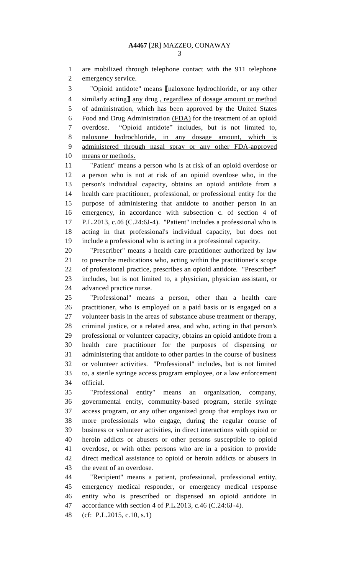are mobilized through telephone contact with the 911 telephone emergency service.

 "Opioid antidote" means **[**naloxone hydrochloride, or any other similarly acting**]** any drug , regardless of dosage amount or method of administration, which has been approved by the United States Food and Drug Administration (FDA) for the treatment of an opioid overdose. "Opioid antidote" includes, but is not limited to, naloxone hydrochloride, in any dosage amount, which is administered through nasal spray or any other FDA-approved means or methods.

 "Patient" means a person who is at risk of an opioid overdose or a person who is not at risk of an opioid overdose who, in the person's individual capacity, obtains an opioid antidote from a health care practitioner, professional, or professional entity for the purpose of administering that antidote to another person in an emergency, in accordance with subsection c. of section 4 of P.L.2013, c.46 (C.24:6J-4). "Patient" includes a professional who is acting in that professional's individual capacity, but does not include a professional who is acting in a professional capacity.

 "Prescriber" means a health care practitioner authorized by law to prescribe medications who, acting within the practitioner's scope of professional practice, prescribes an opioid antidote. "Prescriber" includes, but is not limited to, a physician, physician assistant, or advanced practice nurse.

 "Professional" means a person, other than a health care practitioner, who is employed on a paid basis or is engaged on a volunteer basis in the areas of substance abuse treatment or therapy, criminal justice, or a related area, and who, acting in that person's professional or volunteer capacity, obtains an opioid antidote from a health care practitioner for the purposes of dispensing or administering that antidote to other parties in the course of business or volunteer activities. "Professional" includes, but is not limited to, a sterile syringe access program employee, or a law enforcement official.

 "Professional entity" means an organization, company, governmental entity, community-based program, sterile syringe access program, or any other organized group that employs two or more professionals who engage, during the regular course of business or volunteer activities, in direct interactions with opioid or heroin addicts or abusers or other persons susceptible to opioid overdose, or with other persons who are in a position to provide direct medical assistance to opioid or heroin addicts or abusers in the event of an overdose.

 "Recipient" means a patient, professional, professional entity, emergency medical responder, or emergency medical response entity who is prescribed or dispensed an opioid antidote in accordance with section 4 of P.L.2013, c.46 (C.24:6J-4).

(cf: P.L.2015, c.10, s.1)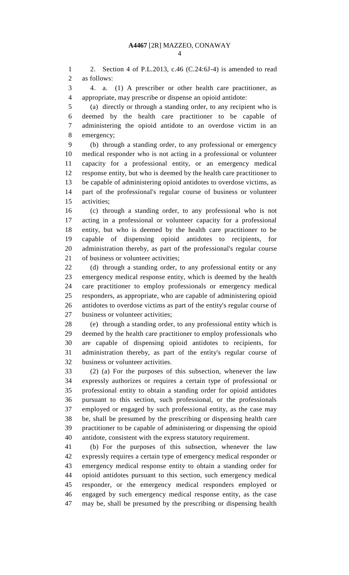2. Section 4 of P.L.2013, c.46 (C.24:6J-4) is amended to read as follows:

 4. a. (1) A prescriber or other health care practitioner, as appropriate, may prescribe or dispense an opioid antidote:

 (a) directly or through a standing order, to any recipient who is deemed by the health care practitioner to be capable of administering the opioid antidote to an overdose victim in an emergency;

 (b) through a standing order, to any professional or emergency medical responder who is not acting in a professional or volunteer capacity for a professional entity, or an emergency medical response entity, but who is deemed by the health care practitioner to be capable of administering opioid antidotes to overdose victims, as part of the professional's regular course of business or volunteer activities;

 (c) through a standing order, to any professional who is not acting in a professional or volunteer capacity for a professional entity, but who is deemed by the health care practitioner to be capable of dispensing opioid antidotes to recipients, for administration thereby, as part of the professional's regular course of business or volunteer activities;

 (d) through a standing order, to any professional entity or any emergency medical response entity, which is deemed by the health care practitioner to employ professionals or emergency medical responders, as appropriate, who are capable of administering opioid antidotes to overdose victims as part of the entity's regular course of business or volunteer activities;

 (e) through a standing order, to any professional entity which is deemed by the health care practitioner to employ professionals who are capable of dispensing opioid antidotes to recipients, for administration thereby, as part of the entity's regular course of business or volunteer activities.

 (2) (a) For the purposes of this subsection, whenever the law expressly authorizes or requires a certain type of professional or professional entity to obtain a standing order for opioid antidotes pursuant to this section, such professional, or the professionals employed or engaged by such professional entity, as the case may be, shall be presumed by the prescribing or dispensing health care practitioner to be capable of administering or dispensing the opioid antidote, consistent with the express statutory requirement.

 (b) For the purposes of this subsection, whenever the law expressly requires a certain type of emergency medical responder or emergency medical response entity to obtain a standing order for opioid antidotes pursuant to this section, such emergency medical responder, or the emergency medical responders employed or engaged by such emergency medical response entity, as the case may be, shall be presumed by the prescribing or dispensing health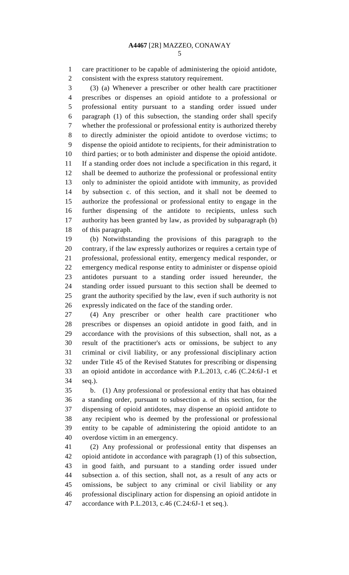care practitioner to be capable of administering the opioid antidote, consistent with the express statutory requirement.

 (3) (a) Whenever a prescriber or other health care practitioner prescribes or dispenses an opioid antidote to a professional or professional entity pursuant to a standing order issued under paragraph (1) of this subsection, the standing order shall specify whether the professional or professional entity is authorized thereby to directly administer the opioid antidote to overdose victims; to dispense the opioid antidote to recipients, for their administration to third parties; or to both administer and dispense the opioid antidote. If a standing order does not include a specification in this regard, it shall be deemed to authorize the professional or professional entity only to administer the opioid antidote with immunity, as provided by subsection c. of this section, and it shall not be deemed to authorize the professional or professional entity to engage in the further dispensing of the antidote to recipients, unless such authority has been granted by law, as provided by subparagraph (b) of this paragraph.

 (b) Notwithstanding the provisions of this paragraph to the contrary, if the law expressly authorizes or requires a certain type of professional, professional entity, emergency medical responder, or emergency medical response entity to administer or dispense opioid antidotes pursuant to a standing order issued hereunder, the standing order issued pursuant to this section shall be deemed to grant the authority specified by the law, even if such authority is not expressly indicated on the face of the standing order.

 (4) Any prescriber or other health care practitioner who prescribes or dispenses an opioid antidote in good faith, and in accordance with the provisions of this subsection, shall not, as a result of the practitioner's acts or omissions, be subject to any criminal or civil liability, or any professional disciplinary action under Title 45 of the Revised Statutes for prescribing or dispensing an opioid antidote in accordance with P.L.2013, c.46 (C.24:6J-1 et seq.).

 b. (1) Any professional or professional entity that has obtained a standing order, pursuant to subsection a. of this section, for the dispensing of opioid antidotes, may dispense an opioid antidote to any recipient who is deemed by the professional or professional entity to be capable of administering the opioid antidote to an overdose victim in an emergency.

 (2) Any professional or professional entity that dispenses an opioid antidote in accordance with paragraph (1) of this subsection, in good faith, and pursuant to a standing order issued under subsection a. of this section, shall not, as a result of any acts or omissions, be subject to any criminal or civil liability or any professional disciplinary action for dispensing an opioid antidote in accordance with P.L.2013, c.46 (C.24:6J-1 et seq.).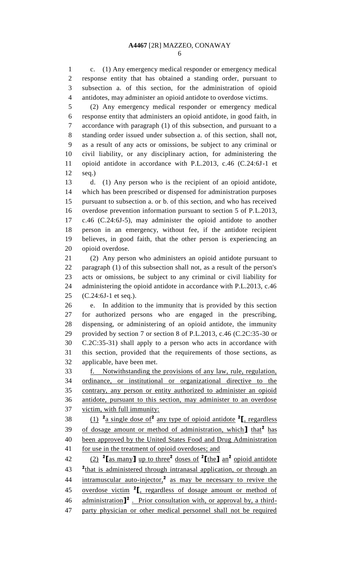c. (1) Any emergency medical responder or emergency medical response entity that has obtained a standing order, pursuant to subsection a. of this section, for the administration of opioid antidotes, may administer an opioid antidote to overdose victims.

 (2) Any emergency medical responder or emergency medical response entity that administers an opioid antidote, in good faith, in accordance with paragraph (1) of this subsection, and pursuant to a standing order issued under subsection a. of this section, shall not, as a result of any acts or omissions, be subject to any criminal or civil liability, or any disciplinary action, for administering the opioid antidote in accordance with P.L.2013, c.46 (C.24:6J-1 et seq.)

 d. (1) Any person who is the recipient of an opioid antidote, which has been prescribed or dispensed for administration purposes pursuant to subsection a. or b. of this section, and who has received overdose prevention information pursuant to section 5 of P.L.2013, c.46 (C.24:6J-5), may administer the opioid antidote to another person in an emergency, without fee, if the antidote recipient believes, in good faith, that the other person is experiencing an opioid overdose.

 (2) Any person who administers an opioid antidote pursuant to paragraph (1) of this subsection shall not, as a result of the person's acts or omissions, be subject to any criminal or civil liability for administering the opioid antidote in accordance with P.L.2013, c.46 (C.24:6J-1 et seq.).

 e. In addition to the immunity that is provided by this section for authorized persons who are engaged in the prescribing, dispensing, or administering of an opioid antidote, the immunity provided by section 7 or section 8 of P.L.2013, c.46 (C.2C:35-30 or C.2C:35-31) shall apply to a person who acts in accordance with this section, provided that the requirements of those sections, as applicable, have been met.

 f. Notwithstanding the provisions of any law, rule, regulation, ordinance, or institutional or organizational directive to the contrary, any person or entity authorized to administer an opioid antidote, pursuant to this section, may administer to an overdose victim, with full immunity:

38  $(1)$   $\frac{2}{a}$  single dose of  $\frac{2}{a}$  any type of opioid antidote  $\frac{2}{b}$ , regardless 39 of dosage amount or method of administration, which<sup>1</sup> that<sup>2</sup> has been approved by the United States Food and Drug Administration 41 for use in the treatment of opioid overdoses; and

(2) **<sup>2</sup> [**as many**]** up to three**<sup>2</sup>** doses of **<sup>2</sup> [**the**]** an**<sup>2</sup>** opioid antidote <sup>2</sup>that is administered through intranasal application, or through an 44 intramuscular auto-injector,<sup>2</sup> as may be necessary to revive the 45 **overdose victim<sup>2</sup>I**, regardless of dosage amount or method of 46 administration<sup>1</sup><sup>2</sup> Prior consultation with, or approval by, a third-party physician or other medical personnel shall not be required